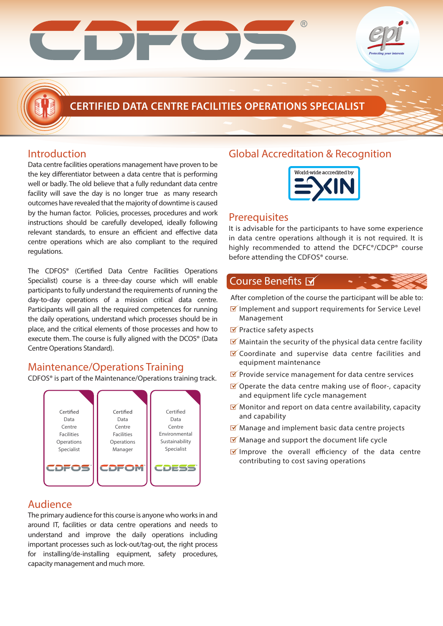

# **CERTIFIED DATA CENTRE FACILITIES OPERATIONS SPECIALIST**

### Introduction

Data centre facilities operations management have proven to be the key differentiator between a data centre that is performing well or badly. The old believe that a fully redundant data centre facility will save the day is no longer true as many research outcomes have revealed that the majority of downtime is caused by the human factor. Policies, processes, procedures and work instructions should be carefully developed, ideally following relevant standards, to ensure an efficient and effective data centre operations which are also compliant to the required regulations.

The CDFOS® (Certified Data Centre Facilities Operations Specialist) course is a three-day course which will enable participants to fully understand the requirements of running the day-to-day operations of a mission critical data centre. Participants will gain all the required competences for running the daily operations, understand which processes should be in place, and the critical elements of those processes and how to execute them. The course is fully aligned with the DCOS® (Data Centre Operations Standard).

### Maintenance/Operations Training

CDFOS® is part of the Maintenance/Operations training track.



### Audience

The primary audience for this course is anyone who works in and around IT, facilities or data centre operations and needs to understand and improve the daily operations including important processes such as lock-out/tag-out, the right process for installing/de-installing equipment, safety procedures, capacity management and much more.

## Global Accreditation & Recognition



### **Prerequisites**

It is advisable for the participants to have some experience in data centre operations although it is not required. It is highly recommended to attend the DCFC®/CDCP® course before attending the CDFOS<sup>®</sup> course.

### Course Benefits M

After completion of the course the participant will be able to:

- $\triangledown$  Implement and support requirements for Service Level Management
- $\blacksquare$  Practice safety aspects
- $\blacksquare$  Maintain the security of the physical data centre facility
- Coordinate and supervise data centre facilities and equipment maintenance
- $\blacksquare$  Provide service management for data centre services
- $\blacksquare$  Operate the data centre making use of floor-, capacity and equipment life cycle management
- $\blacksquare$  Monitor and report on data centre availability, capacity and capability
- $\blacksquare$  Manage and implement basic data centre projects
- $\blacksquare$  Manage and support the document life cycle
- $\blacksquare$  Improve the overall efficiency of the data centre contributing to cost saving operations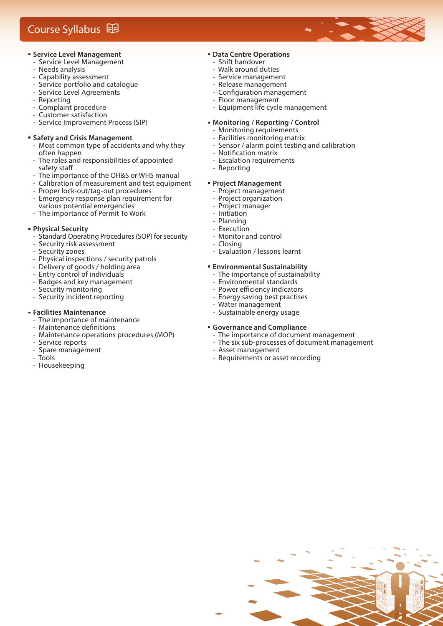# Course Syllabus **D**

#### **Service Level Management**

- Service Level Management
- ‐ Needs analysis
- ‐ Capability assessment
- ‐ Service portfolio and catalogue
- ‐ Service Level Agreements
- ‐ Reporting
- ‐ Complaint procedure
- ‐ Customer satisfaction
- ‐ Service Improvement Process (SIP)

#### **Safety and Crisis Management**

- Most common type of accidents and why they often happen<br>The roles and
- The roles and responsibilities of appointed safety staff
- ‐ The importance of the OH&S or WHS manual
- ‐ Calibration of measurement and test equipment
- ‐ Proper lock-out/tag-out procedures
- ‐ Emergency response plan requirement for various potential emergencies
- ‐ The importance of Permit To Work

#### **Physical Security**

- ‐ Standard Operating Procedures (SOP) for security
- Security risk assessment
- ‐ Security zones
- ‐ Physical inspections / security patrols
- ‐ Delivery of goods / holding area
- ‐ Entry control of individuals
- ‐ Badges and key management
- ‐ Security monitoring
- ‐ Security incident reporting

#### **Facilities Maintenance**

- ‐ The importance of maintenance
- Maintenance definitions
- ‐ Maintenance operations procedures (MOP)
- ‐ Service reports
- ‐ Spare management
- ‐ Tools
- ‐ Housekeeping

### **Data Centre Operations**

- ‐ Shift handover
- ‐ Walk around duties
- ‐ Service management
- ‐ Release management
- Configuration management ‐ Floor management
- ‐ Equipment life cycle management

#### **Monitoring / Reporting / Control**

- ‐ Monitoring requirements
- ‐ Facilities monitoring matrix
- Sensor / alarm point testing and calibration
- Notification matrix
- ‐ Escalation requirements
- ‐ Reporting

#### **Project Management**

- ‐ Project management
- ‐ Project organization
- ‐ Project manager
- ‐ Initiation
- ‐ Planning
- **Execution**
- ‐ Monitor and control
- ‐ Closing
- ‐ Evaluation / lessons learnt

#### **Environmental Sustainability**

- ‐ The importance of sustainability
- ‐ Environmental standards
- Power efficiency indicators
- ‐ Energy saving best practises
- ‐ Water management
- ‐ Sustainable energy usage

#### **Governance and Compliance**

- ‐ The importance of document management
- ‐ The six sub-processes of document management
- ‐ Asset management
- ‐ Requirements or asset recording

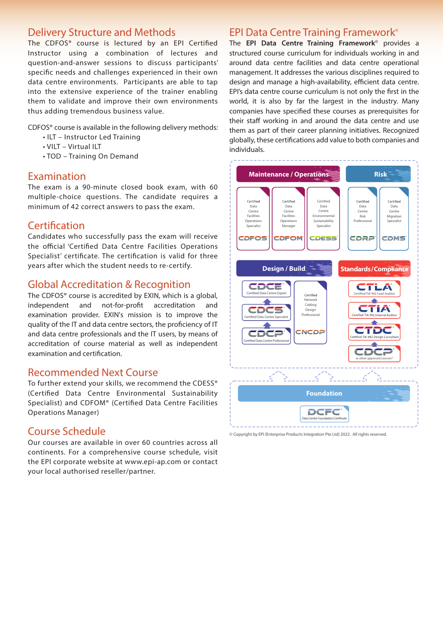### Delivery Structure and Methods

The CDFOS<sup>®</sup> course is lectured by an EPI Certified Instructor using a combination of lectures and question-and-answer sessions to discuss participants' specific needs and challenges experienced in their own data centre environments. Participants are able to tap into the extensive experience of the trainer enabling them to validate and improve their own environments thus adding tremendous business value.

CDFOS® course is available in the following delivery methods:

- ILT Instructor Led Training
- VILT Virtual ILT
- TOD Training On Demand

### Examination

The exam is a 90-minute closed book exam, with 60 multiple-choice questions. The candidate requires a minimum of 42 correct answers to pass the exam.

### Certification

Candidates who successfully pass the exam will receive the official 'Certified Data Centre Facilities Operations Specialist' certificate. The certification is valid for three years after which the student needs to re-certify.

### Global Accreditation & Recognition

The CDFOS® course is accredited by EXIN, which is a global, independent and not-for-profit accreditation and examination provider. EXIN's mission is to improve the quality of the IT and data centre sectors, the proficiency of IT and data centre professionals and the IT users, by means of accreditation of course material as well as independent examination and certification.

### Recommended Next Course

To further extend your skills, we recommend the CDESS® (Certified Data Centre Environmental Sustainability Specialist) and CDFOM® (Certified Data Centre Facilities Operations Manager)

### Course Schedule

Our courses are available in over 60 countries across all continents. For a comprehensive course schedule, visit the EPI corporate website at www.epi-ap.com or contact your local authorised reseller/partner.

### EPI Data Centre Training Framework**©**

The **EPI Data Centre Training Framework©** provides a structured course curriculum for individuals working in and around data centre facilities and data centre operational management. It addresses the various disciplines required to design and manage a high-availability, efficient data centre. EPI's data centre course curriculum is not only the first in the world, it is also by far the largest in the industry. Many companies have specified these courses as prerequisites for their staff working in and around the data centre and use them as part of their career planning initiatives. Recognized globally, these certifications add value to both companies and individuals.



<sup>©</sup> Copyright by EPI (Enterprise Products Integration Pte Ltd) 2022. All rights reserved.